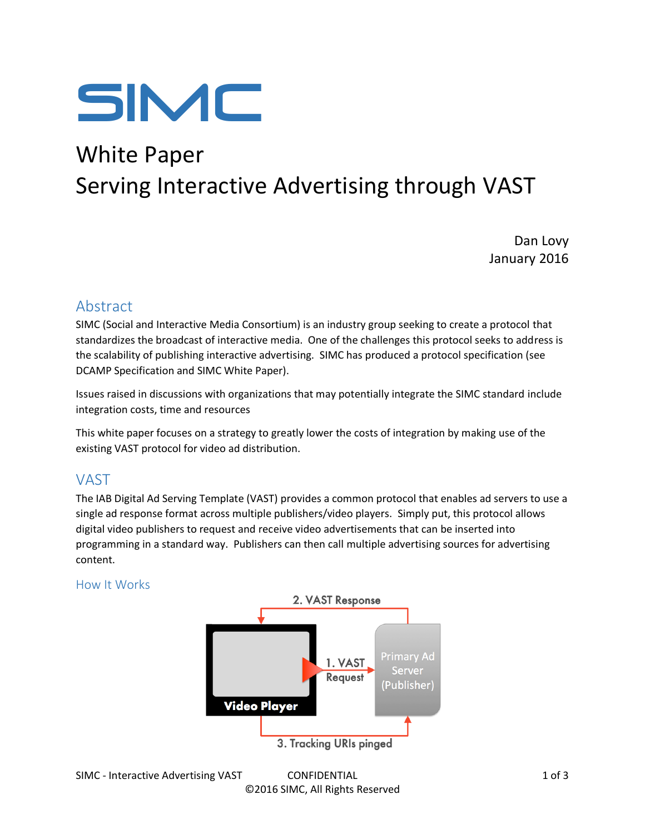

# White Paper Serving Interactive Advertising through VAST

Dan Lovy January 2016

# Abstract

SIMC (Social and Interactive Media Consortium) is an industry group seeking to create a protocol that standardizes the broadcast of interactive media. One of the challenges this protocol seeks to address is the scalability of publishing interactive advertising. SIMC has produced a protocol specification (see DCAMP Specification and SIMC White Paper).

Issues raised in discussions with organizations that may potentially integrate the SIMC standard include integration costs, time and resources

This white paper focuses on a strategy to greatly lower the costs of integration by making use of the existing VAST protocol for video ad distribution.

## VAST

The IAB Digital Ad Serving Template (VAST) provides a common protocol that enables ad servers to use a single ad response format across multiple publishers/video players. Simply put, this protocol allows digital video publishers to request and receive video advertisements that can be inserted into programming in a standard way. Publishers can then call multiple advertising sources for advertising content.

#### How It Works

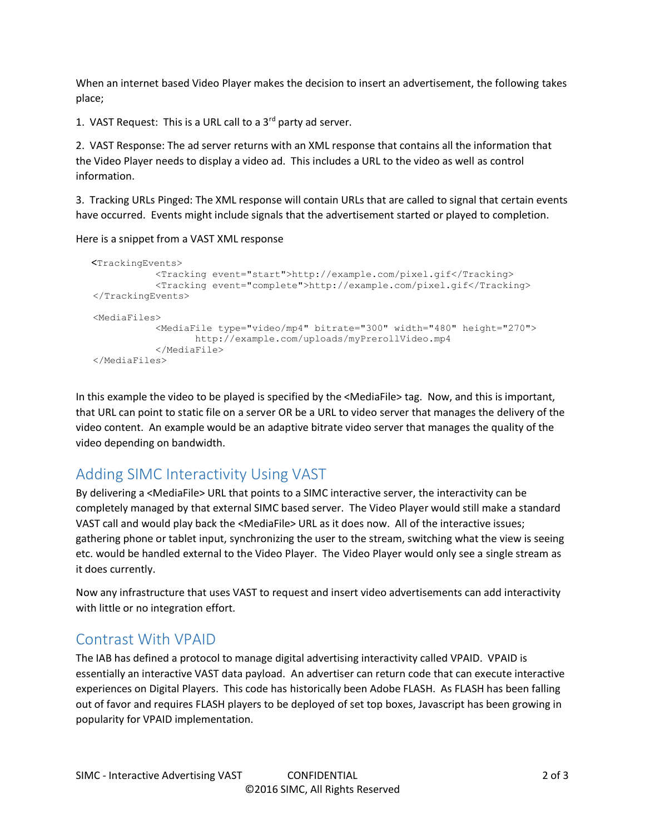When an internet based Video Player makes the decision to insert an advertisement, the following takes place;

1. VAST Request: This is a URL call to a  $3<sup>rd</sup>$  party ad server.

2. VAST Response: The ad server returns with an XML response that contains all the information that the Video Player needs to display a video ad. This includes a URL to the video as well as control information.

3. Tracking URLs Pinged: The XML response will contain URLs that are called to signal that certain events have occurred. Events might include signals that the advertisement started or played to completion.

Here is a snippet from a VAST XML response

```
 <TrackingEvents>
           <Tracking event="start">http://example.com/pixel.gif</Tracking>
           <Tracking event="complete">http://example.com/pixel.gif</Tracking>
</TrackingEvents>
<MediaFiles>
           <MediaFile type="video/mp4" bitrate="300" width="480" height="270">
                  http://example.com/uploads/myPrerollVideo.mp4
           </MediaFile>
</MediaFiles>
```
In this example the video to be played is specified by the <MediaFile> tag. Now, and this is important, that URL can point to static file on a server OR be a URL to video server that manages the delivery of the video content. An example would be an adaptive bitrate video server that manages the quality of the video depending on bandwidth.

# Adding SIMC Interactivity Using VAST

By delivering a <MediaFile> URL that points to a SIMC interactive server, the interactivity can be completely managed by that external SIMC based server. The Video Player would still make a standard VAST call and would play back the <MediaFile> URL as it does now. All of the interactive issues; gathering phone or tablet input, synchronizing the user to the stream, switching what the view is seeing etc. would be handled external to the Video Player. The Video Player would only see a single stream as it does currently.

Now any infrastructure that uses VAST to request and insert video advertisements can add interactivity with little or no integration effort.

### Contrast With VPAID

The IAB has defined a protocol to manage digital advertising interactivity called VPAID. VPAID is essentially an interactive VAST data payload. An advertiser can return code that can execute interactive experiences on Digital Players. This code has historically been Adobe FLASH. As FLASH has been falling out of favor and requires FLASH players to be deployed of set top boxes, Javascript has been growing in popularity for VPAID implementation.